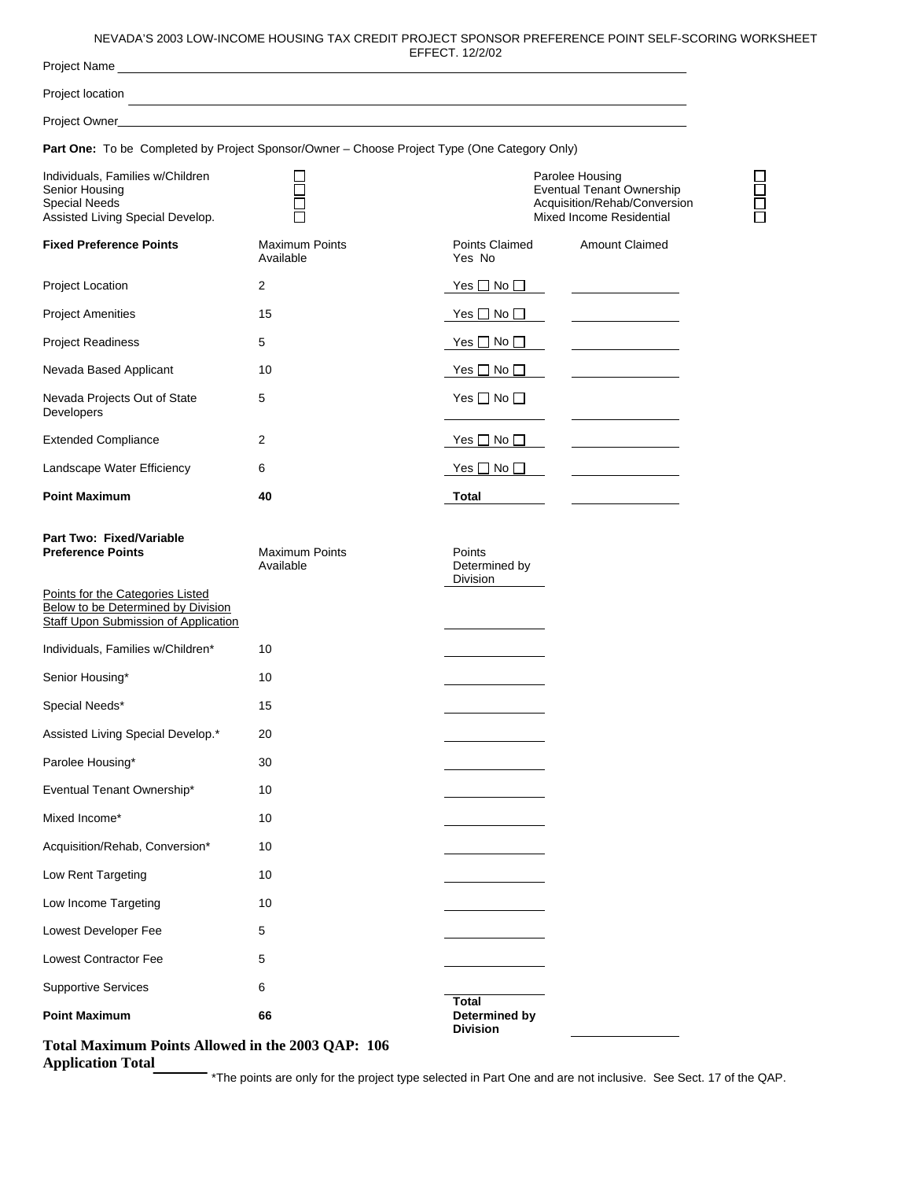## NEVADA'S 2003 LOW-INCOME HOUSING TAX CREDIT PROJECT SPONSOR PREFERENCE POINT SELF-SCORING WORKSHEET

|                                                                                                                       |                                    | NEVADA'S 2003 LOW-INCOME HOUSING TAX CREDIT PROJECT SPONSOR PREFERENCE POINT SELF-SCORING WORKS<br>EFFECT. 12/2/02     |                                         |
|-----------------------------------------------------------------------------------------------------------------------|------------------------------------|------------------------------------------------------------------------------------------------------------------------|-----------------------------------------|
|                                                                                                                       |                                    |                                                                                                                        |                                         |
| Project location                                                                                                      |                                    | <u> 1989 - Johann Stoff, deutscher Stoff, der Stoff, der Stoff, der Stoff, der Stoff, der Stoff, der Stoff, der S</u>  |                                         |
|                                                                                                                       |                                    |                                                                                                                        |                                         |
| Part One: To be Completed by Project Sponsor/Owner - Choose Project Type (One Category Only)                          |                                    |                                                                                                                        |                                         |
| Individuals, Families w/Children<br>Senior Housing<br>Special Needs<br>Assisted Living Special Develop.               |                                    | Parolee Housing<br><b>Eventual Tenant Ownership</b><br>Acquisition/Rehab/Conversion<br><b>Mixed Income Residential</b> |                                         |
| <b>Fixed Preference Points</b>                                                                                        | <b>Maximum Points</b><br>Available | Points Claimed<br>Yes No                                                                                               | <b>Amount Claimed</b>                   |
| Project Location                                                                                                      | $\overline{2}$                     | Yes $\Box$ No $\Box$                                                                                                   |                                         |
| <b>Project Amenities</b>                                                                                              | 15                                 | Yes $\Box$ No $\Box$                                                                                                   |                                         |
| <b>Project Readiness</b>                                                                                              | 5                                  | Yes $\Box$ No $\Box$                                                                                                   |                                         |
| Nevada Based Applicant                                                                                                | 10                                 | Yes $\Box$ No $\Box$                                                                                                   |                                         |
| Nevada Projects Out of State<br>Developers                                                                            | 5                                  | Yes $\Box$ No $\Box$                                                                                                   |                                         |
| <b>Extended Compliance</b>                                                                                            | 2                                  | Yes $\Box$ No $\Box$                                                                                                   | <u> 1989 - Johann Barbara, martin d</u> |
| Landscape Water Efficiency                                                                                            | 6                                  | Yes $\square$ No $\square$                                                                                             | <u> 1989 - Johann Barbara, martx</u>    |
| <b>Point Maximum</b>                                                                                                  | 40                                 | Total                                                                                                                  |                                         |
| Part Two: Fixed/Variable<br><b>Preference Points</b>                                                                  | <b>Maximum Points</b><br>Available | Points<br>Determined by<br>Division                                                                                    |                                         |
| Points for the Categories Listed<br><b>Below to be Determined by Division</b><br>Staff Upon Submission of Application |                                    |                                                                                                                        |                                         |
| Individuals, Families w/Children*                                                                                     | 10                                 |                                                                                                                        |                                         |
| Senior Housing*                                                                                                       | 10                                 |                                                                                                                        |                                         |
| Special Needs*                                                                                                        | 15                                 |                                                                                                                        |                                         |
| Assisted Living Special Develop.*                                                                                     | 20                                 |                                                                                                                        |                                         |
| Parolee Housing*                                                                                                      | 30                                 |                                                                                                                        |                                         |
| Eventual Tenant Ownership*                                                                                            | 10                                 |                                                                                                                        |                                         |
| Mixed Income*                                                                                                         | 10                                 |                                                                                                                        |                                         |
| Acquisition/Rehab, Conversion*                                                                                        | 10                                 |                                                                                                                        |                                         |
| Low Rent Targeting                                                                                                    | 10                                 |                                                                                                                        |                                         |
| Low Income Targeting                                                                                                  | 10                                 |                                                                                                                        |                                         |
| Lowest Developer Fee                                                                                                  | 5                                  |                                                                                                                        |                                         |
| Lowest Contractor Fee                                                                                                 | 5                                  |                                                                                                                        |                                         |
| <b>Supportive Services</b>                                                                                            | 6                                  |                                                                                                                        |                                         |
| <b>Point Maximum</b>                                                                                                  | 66                                 | Total<br>Determined by<br><b>Division</b>                                                                              |                                         |

**Total Maximum Points Allowed in the 2003 QAP: 106** 

**Application Total** 

\*The points are only for the project type selected in Part One and are not inclusive. See Sect. 17 of the QAP.